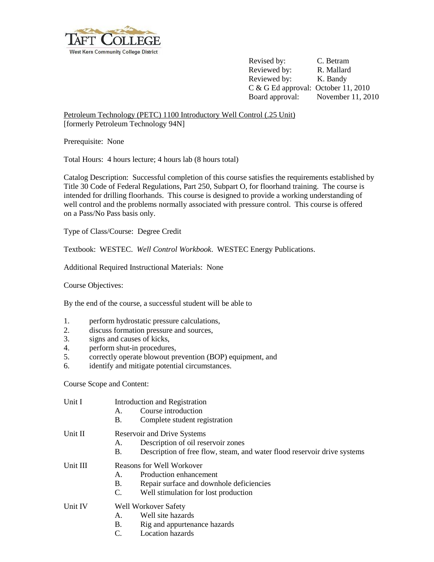

Revised by: C. Betram Reviewed by: R. Mallard Reviewed by: K. Bandy C & G Ed approval: October 11, 2010 Board approval: November 11, 2010

Petroleum Technology (PETC) 1100 Introductory Well Control (.25 Unit) [formerly Petroleum Technology 94N]

Prerequisite: None

Total Hours: 4 hours lecture; 4 hours lab (8 hours total)

Catalog Description: Successful completion of this course satisfies the requirements established by Title 30 Code of Federal Regulations, Part 250, Subpart O, for floorhand training. The course is intended for drilling floorhands. This course is designed to provide a working understanding of well control and the problems normally associated with pressure control. This course is offered on a Pass/No Pass basis only.

Type of Class/Course: Degree Credit

Textbook: WESTEC. *Well Control Workbook*. WESTEC Energy Publications.

Additional Required Instructional Materials: None

Course Objectives:

By the end of the course, a successful student will be able to

- 1. perform hydrostatic pressure calculations,
- 2. discuss formation pressure and sources,
- 3. signs and causes of kicks,
- 4. perform shut-in procedures,
- 5. correctly operate blowout prevention (BOP) equipment, and
- 6. identify and mitigate potential circumstances.

Course Scope and Content:

| Unit I   | A.<br>B.                                                         | Introduction and Registration<br>Course introduction<br>Complete student registration                                                                |  |
|----------|------------------------------------------------------------------|------------------------------------------------------------------------------------------------------------------------------------------------------|--|
| Unit II  | А.<br>Β.                                                         | <b>Reservoir and Drive Systems</b><br>Description of oil reservoir zones<br>Description of free flow, steam, and water flood reservoir drive systems |  |
| Unit III | <b>Reasons for Well Workover</b><br>Production enhancement<br>A. |                                                                                                                                                      |  |
|          | <b>B.</b><br>C.                                                  | Repair surface and downhole deficiencies<br>Well stimulation for lost production                                                                     |  |
| Unit IV  | <b>Well Workover Safety</b>                                      |                                                                                                                                                      |  |
|          | A.                                                               | Well site hazards                                                                                                                                    |  |
|          | <b>B.</b>                                                        | Rig and appurtenance hazards                                                                                                                         |  |
|          | C.                                                               | Location hazards                                                                                                                                     |  |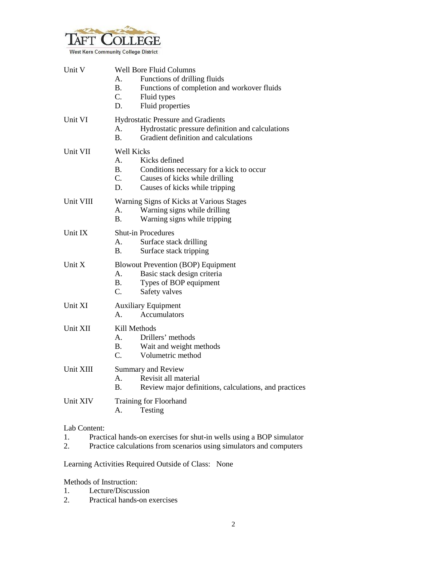

| Unit V    | A.<br><b>B.</b><br>C.<br>D.                                    | <b>Well Bore Fluid Columns</b><br>Functions of drilling fluids<br>Functions of completion and workover fluids<br>Fluid types<br>Fluid properties |
|-----------|----------------------------------------------------------------|--------------------------------------------------------------------------------------------------------------------------------------------------|
| Unit VI   | А.<br>$\mathbf{B}$ .                                           | <b>Hydrostatic Pressure and Gradients</b><br>Hydrostatic pressure definition and calculations<br>Gradient definition and calculations            |
| Unit VII  | <b>Well Kicks</b><br>$A_{-}$<br><b>B.</b><br>$C_{\cdot}$<br>D. | Kicks defined<br>Conditions necessary for a kick to occur<br>Causes of kicks while drilling<br>Causes of kicks while tripping                    |
| Unit VIII | А.<br>В.                                                       | Warning Signs of Kicks at Various Stages<br>Warning signs while drilling<br>Warning signs while tripping                                         |
| Unit IX   | А.<br><b>B.</b>                                                | <b>Shut-in Procedures</b><br>Surface stack drilling<br>Surface stack tripping                                                                    |
| Unit X    | A.<br>В.<br>C.                                                 | <b>Blowout Prevention (BOP) Equipment</b><br>Basic stack design criteria<br>Types of BOP equipment<br>Safety valves                              |
| Unit XI   | <b>Auxiliary Equipment</b><br>Accumulators<br>А.               |                                                                                                                                                  |
| Unit XII  | Kill Methods<br>$A_{1}$<br><b>B.</b><br>C.                     | Drillers' methods<br>Wait and weight methods<br>Volumetric method                                                                                |
| Unit XIII | А.<br><b>B.</b>                                                | Summary and Review<br>Revisit all material<br>Review major definitions, calculations, and practices                                              |
| Unit XIV  | А.                                                             | Training for Floorhand<br>Testing                                                                                                                |

## Lab Content:

| Practical hands-on exercises for shut-in wells using a BOP simulator     |
|--------------------------------------------------------------------------|
| Ducation onlare latings from possession region signalators and pommeters |

2. Practice calculations from scenarios using simulators and computers

Learning Activities Required Outside of Class: None

Methods of Instruction:

- 1. Lecture/Discussion<br>2. Practical hands-on e
- Practical hands-on exercises